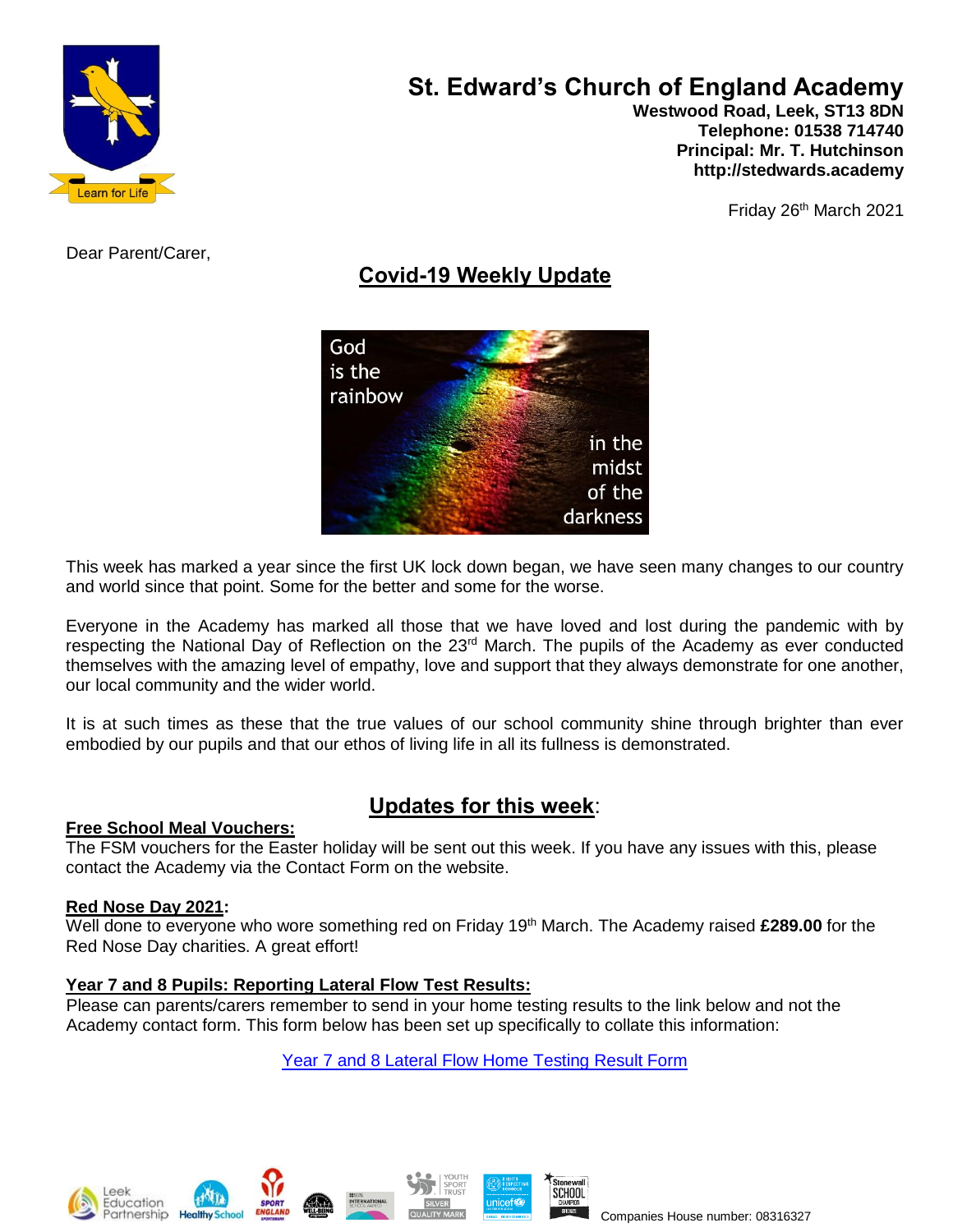

# **St. Edward's Church of England Academy**

 **Westwood Road, Leek, ST13 8DN Telephone: 01538 714740 Principal: Mr. T. Hutchinson http://stedwards.academy**

Friday 26<sup>th</sup> March 2021

Dear Parent/Carer,

# **Covid-19 Weekly Update**



This week has marked a year since the first UK lock down began, we have seen many changes to our country and world since that point. Some for the better and some for the worse.

Everyone in the Academy has marked all those that we have loved and lost during the pandemic with by respecting the National Day of Reflection on the 23<sup>rd</sup> March. The pupils of the Academy as ever conducted themselves with the amazing level of empathy, love and support that they always demonstrate for one another, our local community and the wider world.

It is at such times as these that the true values of our school community shine through brighter than ever embodied by our pupils and that our ethos of living life in all its fullness is demonstrated.

# **Updates for this week**:

### **Free School Meal Vouchers:**

The FSM vouchers for the Easter holiday will be sent out this week. If you have any issues with this, please contact the Academy via the Contact Form on the website.

### **Red Nose Day 2021:**

Well done to everyone who wore something red on Friday 19<sup>th</sup> March. The Academy raised £289.00 for the Red Nose Day charities. A great effort!

### **Year 7 and 8 Pupils: Reporting Lateral Flow Test Results:**

Please can parents/carers remember to send in your home testing results to the link below and not the Academy contact form. This form below has been set up specifically to collate this information:

[Year 7 and 8 Lateral Flow Home Testing Result Form](https://forms.office.com/Pages/ResponsePage.aspx?id=1fhjb3KZgUuT_NXvEhdWcKayiLvXvodDpRcCWau7pr1UMk9UNVBUMDE3R01YWVZVV1MwTEtDVzQ5Si4u)







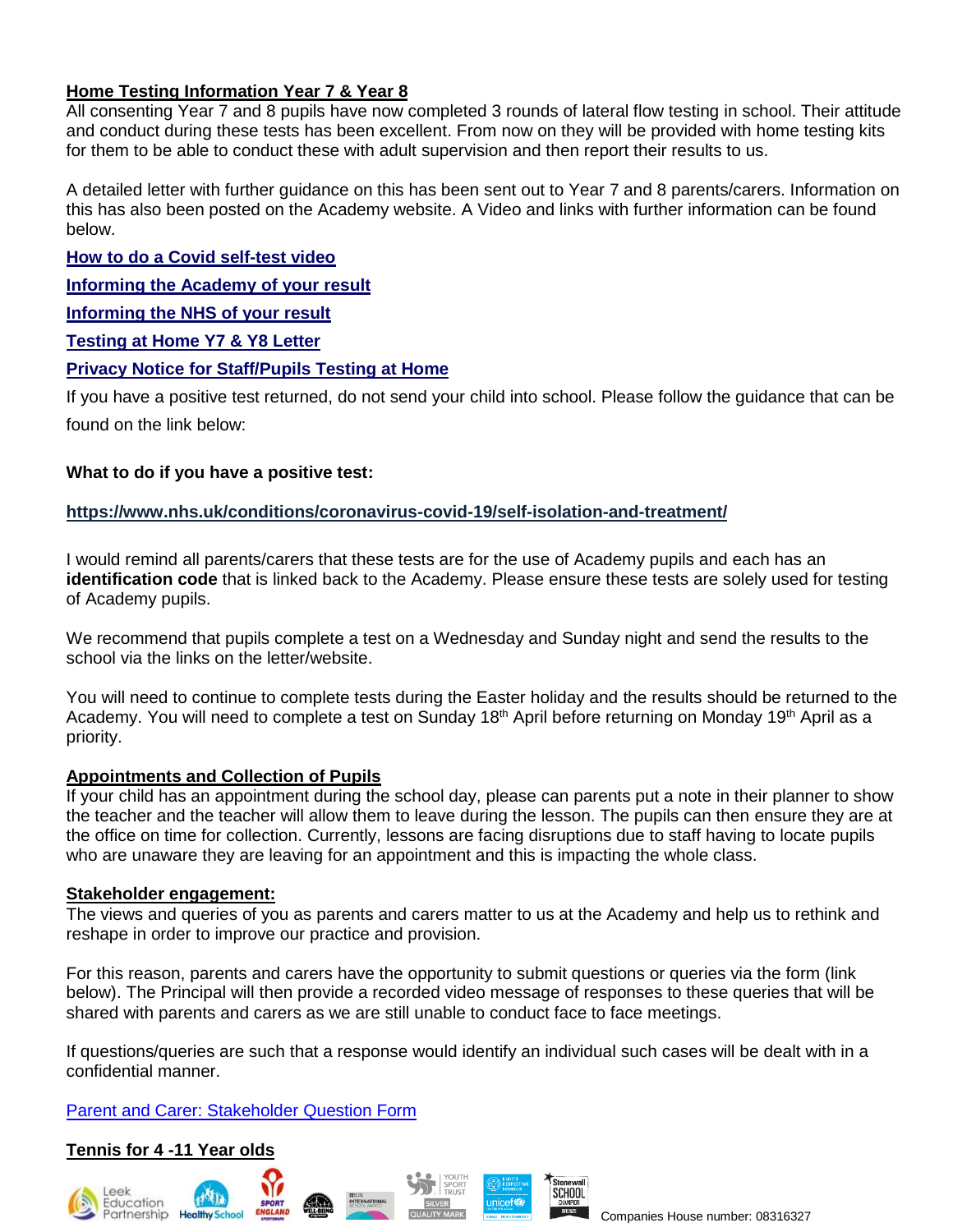# **Home Testing Information Year 7 & Year 8**

All consenting Year 7 and 8 pupils have now completed 3 rounds of lateral flow testing in school. Their attitude and conduct during these tests has been excellent. From now on they will be provided with home testing kits for them to be able to conduct these with adult supervision and then report their results to us.

A detailed letter with further guidance on this has been sent out to Year 7 and 8 parents/carers. Information on this has also been posted on the Academy website. A Video and links with further information can be found below.

**How to do a Covid [self-test](https://www.youtube.com/watch?v=S9XR8RZxKNo&list=PLvaBZskxS7tzQYlVg7lwH5uxAD9UrSzGJ&index=2) video**

**[Informing](https://forms.office.com/Pages/ResponsePage.aspx?id=1fhjb3KZgUuT_NXvEhdWcKayiLvXvodDpRcCWau7pr1UMk9UNVBUMDE3R01YWVZVV1MwTEtDVzQ5Si4u) the Academy of your result**

**[Informing](https://www.gov.uk/report-covid19-result) the NHS of your result**

**[Testing](https://www.stedwards.academy/admin/ckfinder/userfiles/files/Testing%20pupils%20at%20home%20kits%20letter.pdf) at Home Y7 & Y8 Letter**

### **Privacy Notice for [Staff/Pupils](https://www.stedwards.academy/admin/ckfinder/userfiles/files/Privacy%20Notice%20%20for%20Staff%20-%20%20Pupils%20test%20at%20home.pdf) Testing at Home**

If you have a positive test returned, do not send your child into school. Please follow the guidance that can be found on the link below:

#### **What to do if you have a positive test:**

#### **<https://www.nhs.uk/conditions/coronavirus-covid-19/self-isolation-and-treatment/>**

I would remind all parents/carers that these tests are for the use of Academy pupils and each has an **identification code** that is linked back to the Academy. Please ensure these tests are solely used for testing of Academy pupils.

We recommend that pupils complete a test on a Wednesday and Sunday night and send the results to the school via the links on the letter/website.

You will need to continue to complete tests during the Easter holiday and the results should be returned to the Academy. You will need to complete a test on Sunday 18<sup>th</sup> April before returning on Monday 19<sup>th</sup> April as a priority.

### **Appointments and Collection of Pupils**

If your child has an appointment during the school day, please can parents put a note in their planner to show the teacher and the teacher will allow them to leave during the lesson. The pupils can then ensure they are at the office on time for collection. Currently, lessons are facing disruptions due to staff having to locate pupils who are unaware they are leaving for an appointment and this is impacting the whole class.

#### **Stakeholder engagement:**

The views and queries of you as parents and carers matter to us at the Academy and help us to rethink and reshape in order to improve our practice and provision.

For this reason, parents and carers have the opportunity to submit questions or queries via the form (link below). The Principal will then provide a recorded video message of responses to these queries that will be shared with parents and carers as we are still unable to conduct face to face meetings.

If questions/queries are such that a response would identify an individual such cases will be dealt with in a confidential manner.

### [Parent and Carer: Stakeholder Question Form](https://forms.office.com/Pages/ResponsePage.aspx?id=1fhjb3KZgUuT_NXvEhdWcKayiLvXvodDpRcCWau7pr1UQloxTklTNTYyTFUxUzRVQjlOTVZDRTRBSS4u)

### **Tennis for 4 -11 Year olds**







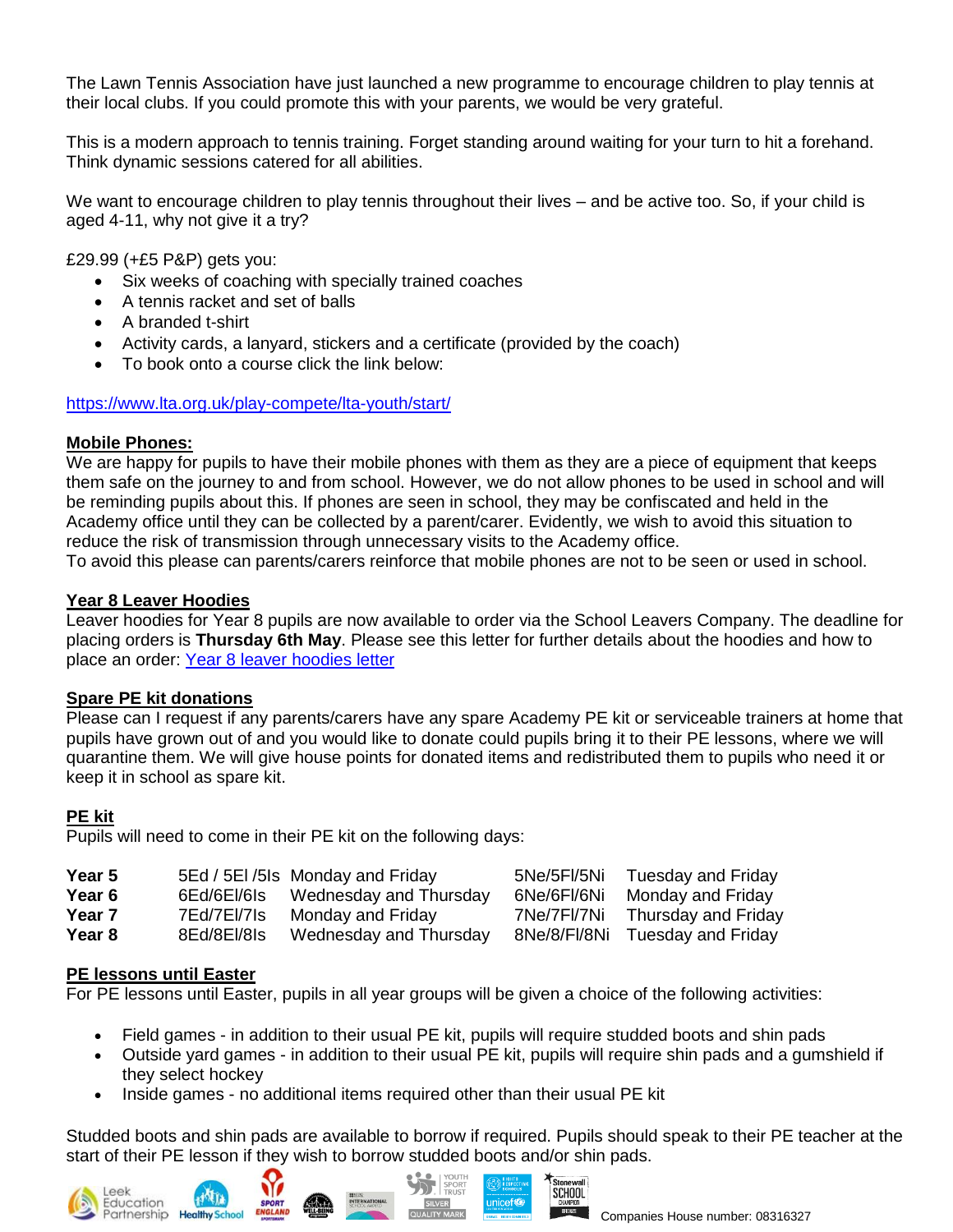The Lawn Tennis Association have just launched a new programme to encourage children to play tennis at their local clubs. If you could promote this with your parents, we would be very grateful.

This is a modern approach to tennis training. Forget standing around waiting for your turn to hit a forehand. Think dynamic sessions catered for all abilities.

We want to encourage children to play tennis throughout their lives – and be active too. So, if your child is aged 4-11, why not give it a try?

£29.99 (+£5 P&P) gets you:

- Six weeks of coaching with specially trained coaches
- A tennis racket and set of balls
- A branded t-shirt
- Activity cards, a lanyard, stickers and a certificate (provided by the coach)
- To book onto a course click the link below:

<https://www.lta.org.uk/play-compete/lta-youth/start/>

### **Mobile Phones:**

We are happy for pupils to have their mobile phones with them as they are a piece of equipment that keeps them safe on the journey to and from school. However, we do not allow phones to be used in school and will be reminding pupils about this. If phones are seen in school, they may be confiscated and held in the Academy office until they can be collected by a parent/carer. Evidently, we wish to avoid this situation to reduce the risk of transmission through unnecessary visits to the Academy office.

To avoid this please can parents/carers reinforce that mobile phones are not to be seen or used in school.

# **Year 8 Leaver Hoodies**

Leaver hoodies for Year 8 pupils are now available to order via the School Leavers Company. The deadline for placing orders is **Thursday 6th May**. Please see this letter for further details about the hoodies and how to place an order: Year 8 leaver [hoodies](https://www.stedwards.academy/letters/1615993489.pdf) letter

### **Spare PE kit donations**

Please can I request if any parents/carers have any spare Academy PE kit or serviceable trainers at home that pupils have grown out of and you would like to donate could pupils bring it to their PE lessons, where we will quarantine them. We will give house points for donated items and redistributed them to pupils who need it or keep it in school as spare kit.

# **PE kit**

Pupils will need to come in their PE kit on the following days:

| <b>Year 5</b> |             | 5Ed / 5EI / 5Is Monday and Friday | 5Ne/5Fl/5Ni  | Tuesday and Friday  |
|---------------|-------------|-----------------------------------|--------------|---------------------|
| Year 6        | 6Ed/6El/6Is | Wednesday and Thursday            | 6Ne/6Fl/6Ni  | Monday and Friday   |
| <b>Year 7</b> | 7Ed/7El/7Is | Monday and Friday                 | 7Ne/7FI/7Ni  | Thursday and Friday |
| Year 8        | 8Ed/8El/8ls | Wednesday and Thursday            | 8Ne/8/Fl/8Ni | Tuesday and Friday  |

### **PE lessons until Easter**

For PE lessons until Easter, pupils in all year groups will be given a choice of the following activities:

- Field games in addition to their usual PE kit, pupils will require studded boots and shin pads
- Outside yard games in addition to their usual PE kit, pupils will require shin pads and a gumshield if they select hockey
- Inside games no additional items required other than their usual PE kit

Studded boots and shin pads are available to borrow if required. Pupils should speak to their PE teacher at the start of their PE lesson if they wish to borrow studded boots and/or shin pads.





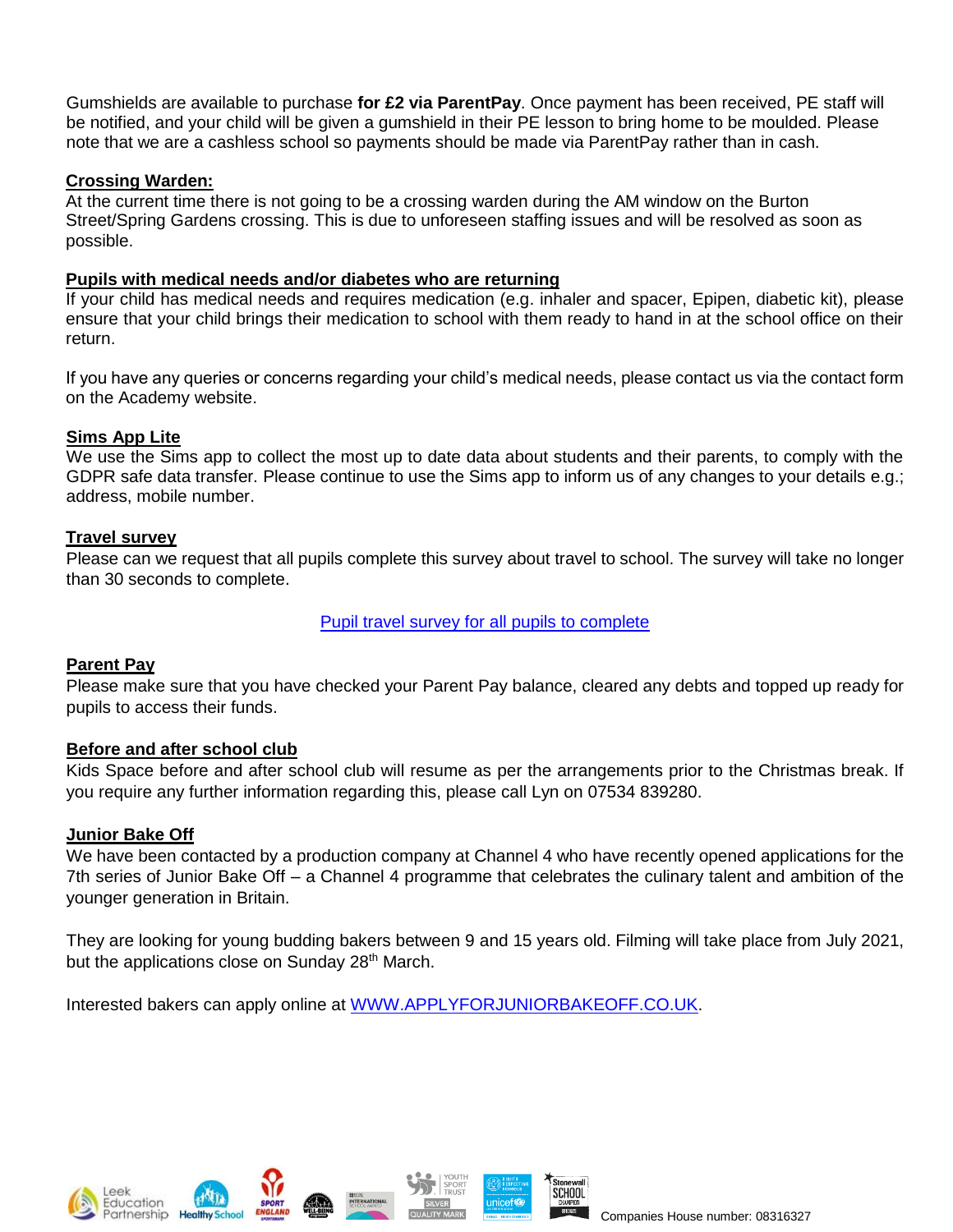Gumshields are available to purchase **for £2 via ParentPay**. Once payment has been received, PE staff will be notified, and your child will be given a gumshield in their PE lesson to bring home to be moulded. Please note that we are a cashless school so payments should be made via ParentPay rather than in cash.

### **Crossing Warden:**

At the current time there is not going to be a crossing warden during the AM window on the Burton Street/Spring Gardens crossing. This is due to unforeseen staffing issues and will be resolved as soon as possible.

#### **Pupils with medical needs and/or diabetes who are returning**

If your child has medical needs and requires medication (e.g. inhaler and spacer, Epipen, diabetic kit), please ensure that your child brings their medication to school with them ready to hand in at the school office on their return.

If you have any queries or concerns regarding your child's medical needs, please contact us via the contact form on the Academy website.

### **Sims App Lite**

We use the Sims app to collect the most up to date data about students and their parents, to comply with the GDPR safe data transfer. Please continue to use the Sims app to inform us of any changes to your details e.g.; address, mobile number.

#### **Travel survey**

Please can we request that all pupils complete this survey about travel to school. The survey will take no longer than 30 seconds to complete.

[Pupil travel survey for all pupils to complete](https://forms.office.com/Pages/ResponsePage.aspx?id=1fhjb3KZgUuT_NXvEhdWcEUHVnCbQwpIuw5ekPlmKq9UNVJZSVVDQ0g0RUszTExJWVE3OFJDSlJFMS4u)

### **Parent Pay**

Please make sure that you have checked your Parent Pay balance, cleared any debts and topped up ready for pupils to access their funds.

### **Before and after school club**

Kids Space before and after school club will resume as per the arrangements prior to the Christmas break. If you require any further information regarding this, please call Lyn on 07534 839280.

### **Junior Bake Off**

We have been contacted by a production company at Channel 4 who have recently opened applications for the 7th series of Junior Bake Off – a Channel 4 programme that celebrates the culinary talent and ambition of the younger generation in Britain.

They are looking for young budding bakers between 9 and 15 years old. Filming will take place from July 2021, but the applications close on Sunday 28<sup>th</sup> March.

Interested bakers can apply online at [WWW.APPLYFORJUNIORBAKEOFF.CO.UK.](http://www.applyforjuniorbakeoff.co.uk/)